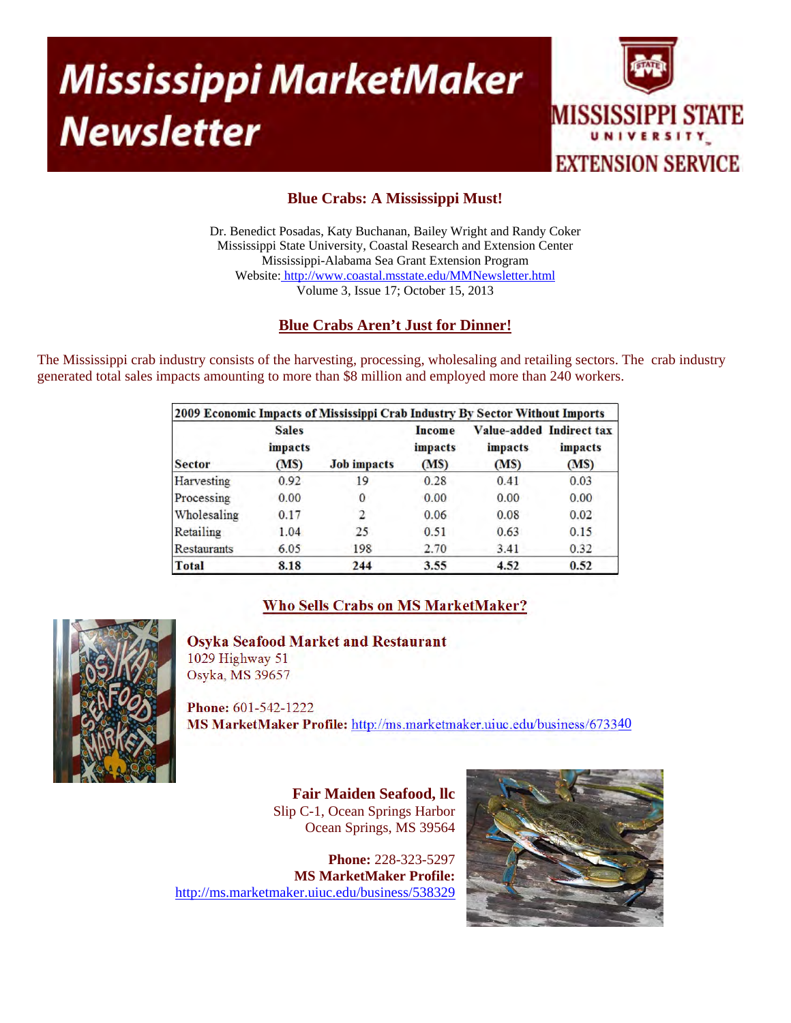# **Mississippi MarketMaker Newsletter**



## **Blue Crabs: A Mississippi Must!**

Dr. Benedict Posadas, Katy Buchanan, Bailey Wright and Randy Coker Mississippi State University, Coastal Research and Extension Center Mississippi-Alabama Sea Grant Extension Program Website: http://www.coastal.msstate.edu/MMNewsletter.html Volume 3, Issue 17; October 15, 2013

## **Blue Crabs Aren't Just for Dinner!**

The Mississippi crab industry consists of the harvesting, processing, wholesaling and retailing sectors. The crab industry generated total sales impacts amounting to more than \$8 million and employed more than 240 workers.

| 2009 Economic Impacts of Mississippi Crab Industry By Sector Without Imports |                                 |                    |                           |                                             |                 |
|------------------------------------------------------------------------------|---------------------------------|--------------------|---------------------------|---------------------------------------------|-----------------|
| <b>Sector</b>                                                                | <b>Sales</b><br>impacts<br>(MS) | <b>Job</b> impacts | Income<br>impacts<br>(MS) | Value-added Indirect tax<br>impacts<br>(MS) | impacts<br>(MS) |
| Harvesting                                                                   | 0.92                            | 19                 | 0.28                      | 0.41                                        | 0.03            |
| Processing                                                                   | 0.00                            | 0                  | 0.00                      | 0.00                                        | 0.00            |
| Wholesaling                                                                  | 0.17                            | 2                  | 0.06                      | 0.08                                        | 0.02            |
| Retailing                                                                    | 1.04                            | 25                 | 0.51                      | 0.63                                        | 0.15            |
| Restaurants                                                                  | 6.05                            | 198                | 2.70                      | 3.41                                        | 0.32            |
| Total                                                                        | 8.18                            | 244                | 3.55                      | 4.52                                        | 0.52            |

## **Who Sells Crabs on MS MarketMaker?**



**Osyka Seafood Market and Restaurant** 

1029 Highway 51 Osyka, MS 39657

**Phone:** 601-542-1222 **MS MarketMaker Profile:** http://ms.marketmaker.uiuc.edu/business/673340

> **Fair Maiden Seafood, llc**  Slip C-1, Ocean Springs Harbor Ocean Springs, MS 39564

**Phone:** 228-323-5297 **MS MarketMaker Profile:**  http://ms.marketmaker.uiuc.edu/business/538329